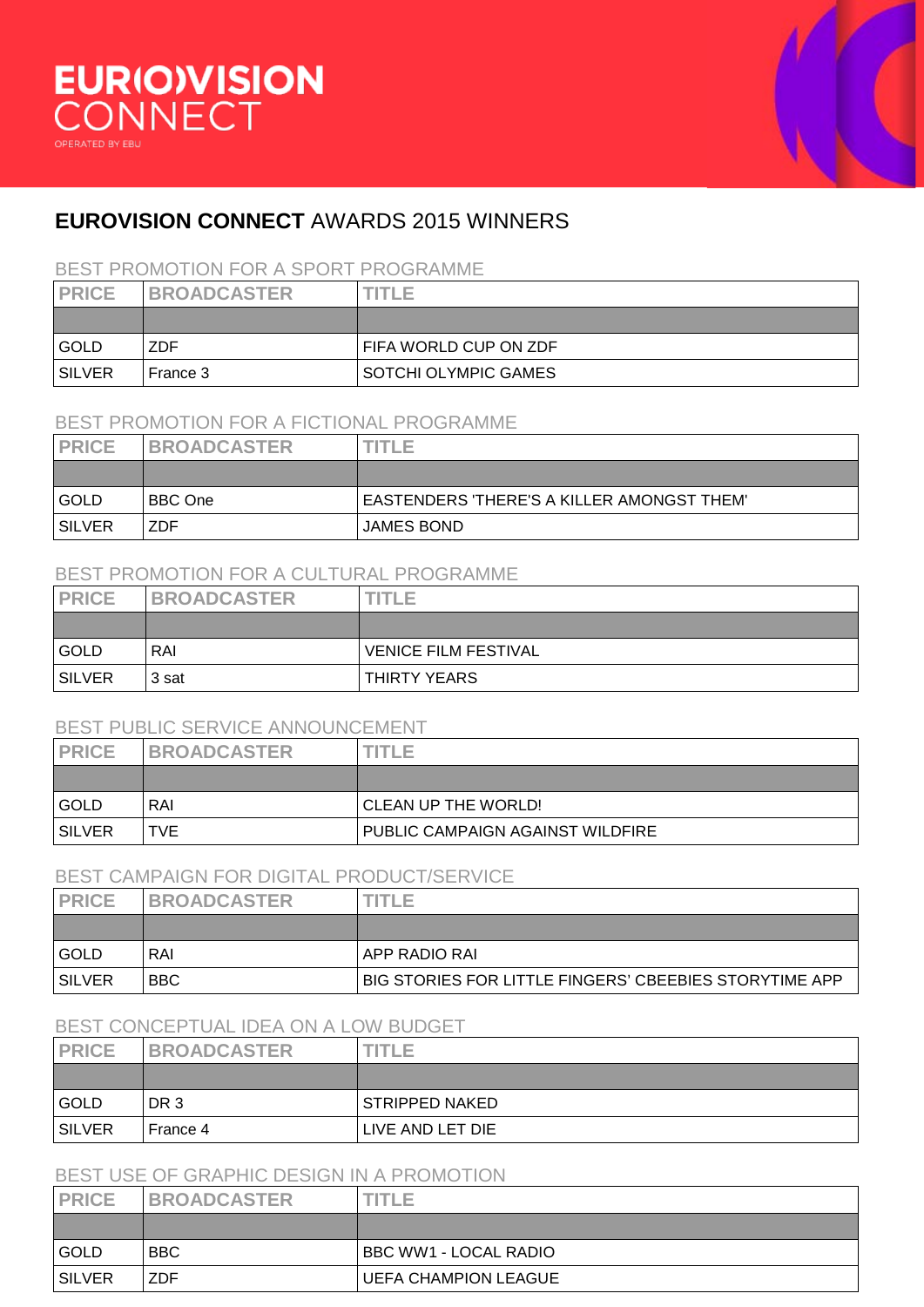



# **EUROVISION CONNECT** AWARDS 2015 WINNERS

### BEST PROMOTION FOR A SPORT PROGRAMME

| <b>PRICE</b>  | <b>BROADCASTER</b> | <b>TITLE</b>                |
|---------------|--------------------|-----------------------------|
|               |                    |                             |
| GOLD          | <b>ZDF</b>         | FIFA WORLD CUP ON ZDF       |
| <b>SILVER</b> | l France 3         | <b>SOTCHI OLYMPIC GAMES</b> |

#### BEST PROMOTION FOR A FICTIONAL PROGRAMME

| <b>PRICE</b>  | <b>BROADCASTER</b> | <b>TITLE</b>                                      |
|---------------|--------------------|---------------------------------------------------|
|               |                    |                                                   |
| GOLD          | <b>BBC</b> One     | <b>EASTENDERS 'THERE'S A KILLER AMONGST THEM'</b> |
| <b>SILVER</b> | <b>ZDF</b>         | <b>JAMES BOND</b>                                 |

# BEST PROMOTION FOR A CULTURAL PROGRAMME

| <b>PRICE</b>  | <b>BROADCASTER</b> | <b>TITLE</b>                |
|---------------|--------------------|-----------------------------|
|               |                    |                             |
| GOLD          | RAI                | <b>VENICE FILM FESTIVAL</b> |
| <b>SILVER</b> | 3 sat              | THIRTY YEARS                |

# BEST PUBLIC SERVICE ANNOUNCEMENT

|               | DEOT F UDLIU OLIVIUL ANNUUNULIVILINI |                                  |  |
|---------------|--------------------------------------|----------------------------------|--|
| <b>PRICE</b>  | <b>BROADCASTER</b>                   | NTLE                             |  |
|               |                                      |                                  |  |
| l GOLD        | RAI                                  | CLEAN UP THE WORLD!              |  |
| <b>SILVER</b> | <b>TVE</b>                           | PUBLIC CAMPAIGN AGAINST WILDFIRE |  |

#### BEST CAMPAIGN FOR DIGITAL PRODUCT/SERVICE

| <b>PRICE</b> | <b>BROADCASTER</b> | TITLE.                                                 |
|--------------|--------------------|--------------------------------------------------------|
|              |                    |                                                        |
| <b>GOLD</b>  | RAI                | APP RADIO RAI                                          |
| SILVER       | <b>BBC</b>         | BIG STORIES FOR LITTLE FINGERS' CBEEBIES STORYTIME APP |

# BEST CONCEPTUAL IDEA ON A LOW BUDGET

| <b>PRICE</b>  | <b>BROADCASTER</b> | TITLE            |
|---------------|--------------------|------------------|
|               |                    |                  |
| GOLD          | DR 3               | STRIPPED NAKED   |
| <b>SILVER</b> | France 4           | LIVE AND LET DIE |

| BEST USE OF GRAPHIC DESIGN IN A PROMOTION |                    |                       |
|-------------------------------------------|--------------------|-----------------------|
| <b>PRICE</b>                              | <b>BROADCASTER</b> | <b>TITLE</b>          |
|                                           |                    |                       |
| GOLD                                      | BBC.               | BBC WW1 - LOCAL RADIO |
| <b>SILVER</b>                             | ZDF                | UEFA CHAMPION LEAGUE  |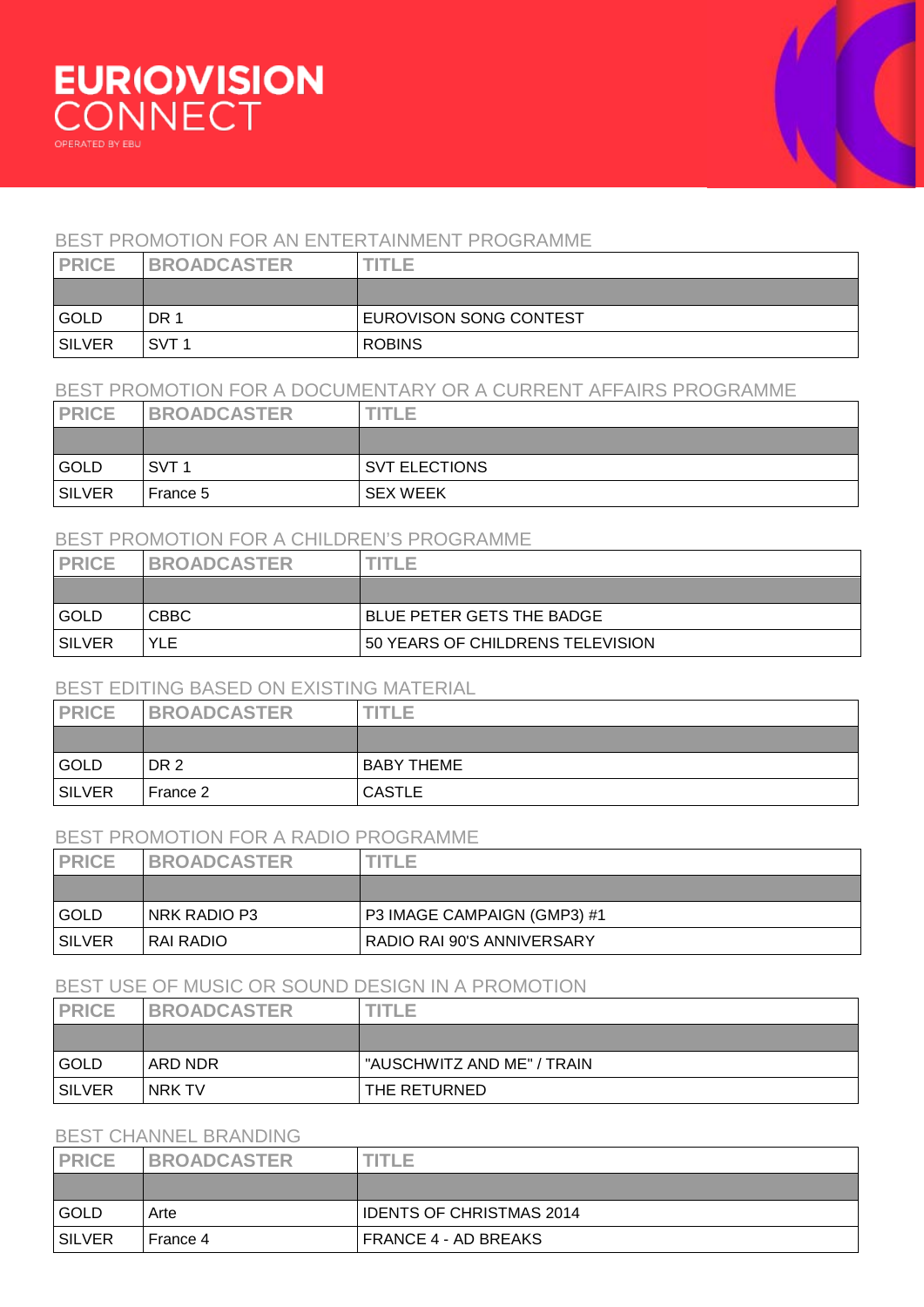# BEST PROMOTION FOR AN ENTERTAINMENT PROGRAMME

| <b>PRICE</b>  | <b>BROADCASTER</b> | $T$ $T$ $T$ $T$ $T$    |
|---------------|--------------------|------------------------|
|               |                    |                        |
| GOLD          | DR 1               | EUROVISON SONG CONTEST |
| <b>SILVER</b> | SVT 1              | <b>ROBINS</b>          |

#### BEST PROMOTION FOR A DOCUMENTARY OR A CURRENT AFFAIRS PROGRAMME

| <b>PRICE</b>  | <b>BROADCASTER</b> | TITLE                |
|---------------|--------------------|----------------------|
|               |                    |                      |
| GOLD          | SVT 1              | <b>SVT ELECTIONS</b> |
| <b>SILVER</b> | France 5           | <b>SEX WEEK</b>      |

# BEST PROMOTION FOR A CHILDREN'S PROGRAMME

| <b>PRICE</b>  | <b>BROADCASTER</b> | 'TI E                            |
|---------------|--------------------|----------------------------------|
|               |                    |                                  |
| GOLD          | <b>CBBC</b>        | <b>BLUE PETER GETS THE BADGE</b> |
| <b>SILVER</b> | <b>YLE</b>         | 50 YEARS OF CHILDRENS TELEVISION |

#### BEST EDITING BASED ON EXISTING MATERIAL

| <b>PRICE</b>  | <b>BROADCASTER</b> | <b>TITLE</b>      |
|---------------|--------------------|-------------------|
|               |                    |                   |
| GOLD          | DR <sub>2</sub>    | <b>BABY THEME</b> |
| <b>SILVER</b> | France 2           | <b>CASTLE</b>     |

#### BEST PROMOTION FOR A RADIO PROGRAMME

| <b>PRICE</b> | <b>BROADCASTER</b> | ITLE                        |
|--------------|--------------------|-----------------------------|
|              |                    |                             |
| GOLD         | NRK RADIO P3       | P3 IMAGE CAMPAIGN (GMP3) #1 |
| SILVER       | RAI RADIO          | RADIO RAI 90'S ANNIVERSARY  |

### BEST USE OF MUSIC OR SOUND DESIGN IN A PROMOTION

| <b>PRICE</b>  | <b>BROADCASTER</b> | TITLE.                     |
|---------------|--------------------|----------------------------|
|               |                    |                            |
| GOLD          | ARD NDR            | "AUSCHWITZ AND ME" / TRAIN |
| <b>SILVER</b> | NRK TV             | THE RETURNED               |

# BEST CHANNEL BRANDING

| <b>PRICE</b>  | <b>BROADCASTER</b> | $T(T) \models T$                |
|---------------|--------------------|---------------------------------|
|               |                    |                                 |
| GOLD          | Arte               | <b>IDENTS OF CHRISTMAS 2014</b> |
| <b>SILVER</b> | France 4           | FRANCE 4 - AD BREAKS            |